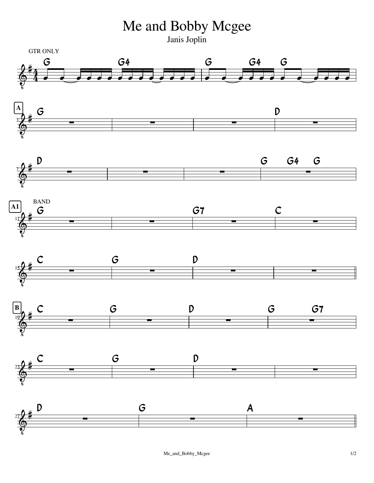Me and Bobby Mcgee

Janis Joplin